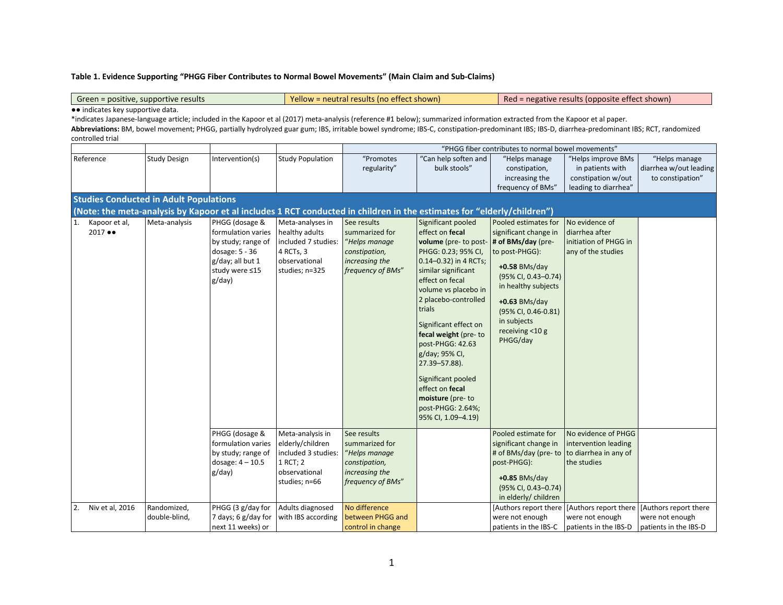## **Table 1. Evidence Supporting "PHGG Fiber Contributes to Normal Bowel Movements" (Main Claim and Sub-Claims)**

Green = positive, supportive results Yellow = neutral results (no effect shown) Red = negative results (opposite effect shown) ●● indicates key supportive data. \*indicates Japanese-language article; included in the Kapoor et al (2017) meta-analysis (reference #1 below); summarized information extracted from the Kapoor et al paper. **Abbreviations:** BM, bowel movement; PHGG, partially hydrolyzed guar gum; IBS, irritable bowel syndrome; IBS-C, constipation-predominant IBS; IBS-D, diarrhea-predominant IBS; RCT, randomized controlled trial "PHGG fiber contributes to normal bowel movements" Reference Study Design Intervention(s) Study Population Study Promotes regularity" "Can help soften and bulk stools" "Helps manage constipation, increasing the frequency of BMs" "Helps improve BMs in patients with constipation w/out leading to diarrhea" "Helps manage diarrhea w/out leading to constipation" **Studies Conducted in Adult Populations (Note: the meta-analysis by Kapoor et al includes 1 RCT conducted in children in the estimates for "elderly/children")** 1. Kapoor et al, 2017 ●● Meta-analysis PHGG (dosage & formulation varies by study; range of dosage: 5 - 36 g/day; all but 1 study were ≤15 g/day) Meta-analyses in healthy adults included 7 studies: 4 RCTs, 3 observational studies; n=325 See results summarized for "*Helps manage constipation, increasing the frequency of BMs*" Significant pooled effect on **fecal volume** (pre- to post-PHGG: 0.23; 95% CI, 0.14–0.32) in 4 RCTs; similar significant effect on fecal volume vs placebo in 2 placebo-controlled trials Significant effect on **fecal weight** (pre- to post-PHGG: 42.63 g/day; 95% CI, 27.39–57.88). Significant pooled effect on **fecal moisture** (pre- to post-PHGG: 2.64%; 95% CI, 1.09–4.19) Pooled estimates for significant change in **# of BMs/day** (preto post-PHGG): **+0.58** BMs/day (95% CI, 0.43–0.74) in healthy subjects **+0.63** BMs/day (95% CI, 0.46-0.81) in subjects receiving <10 g PHGG/day No evidence of diarrhea after initiation of PHGG in any of the studies PHGG (dosage & formulation varies by study; range of dosage: 4 – 10.5 g/day) Meta-analysis in elderly/children included 3 studies: 1 RCT; 2 observational studies; n=66 See results summarized for "*Helps manage constipation, increasing the frequency of BMs*" Pooled estimate for significant change in # of BMs/day (pre- to to diarrhea in any of post-PHGG): **+0.85** BMs/day (95% CI, 0.43–0.74) in elderly/ children No evidence of PHGG intervention leading the studies 2. Niv et al, 2016 Randomized, double-blind, PHGG (3 g/day for 7 days; 6 g/day for next 11 weeks) or Adults diagnosed with IBS according No difference between PHGG and control in change [Authors report there were not enough patients in the IBS-C [Authors report there [Authors report there were not enough patients in the IBS-D patients in the IBS-D were not enough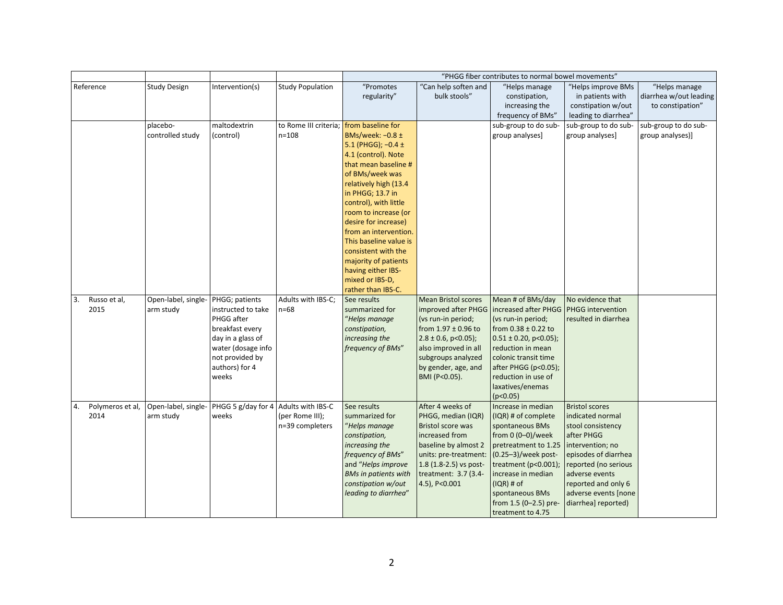|                                |                                  |                                               |                         |                                               |                            | "PHGG fiber contributes to normal bowel movements" |                       |                        |
|--------------------------------|----------------------------------|-----------------------------------------------|-------------------------|-----------------------------------------------|----------------------------|----------------------------------------------------|-----------------------|------------------------|
| Reference                      | <b>Study Design</b>              | Intervention(s)                               | <b>Study Population</b> | "Promotes                                     | "Can help soften and       | "Helps manage                                      | "Helps improve BMs    | "Helps manage          |
|                                |                                  |                                               |                         | regularity"                                   | bulk stools"               | constipation,                                      | in patients with      | diarrhea w/out leading |
|                                |                                  |                                               |                         |                                               |                            | increasing the                                     | constipation w/out    | to constipation"       |
|                                |                                  |                                               |                         |                                               |                            | frequency of BMs"                                  | leading to diarrhea"  |                        |
|                                | placebo-                         | maltodextrin                                  | to Rome III criteria;   | from baseline for                             |                            | sub-group to do sub-                               | sub-group to do sub-  | sub-group to do sub-   |
|                                | controlled study                 | (control)                                     | $n = 108$               | BMs/week: -0.8 ±                              |                            | group analyses]                                    | group analyses]       | group analyses)]       |
|                                |                                  |                                               |                         | 5.1 (PHGG); $-0.4 \pm$                        |                            |                                                    |                       |                        |
|                                |                                  |                                               |                         | 4.1 (control). Note                           |                            |                                                    |                       |                        |
|                                |                                  |                                               |                         | that mean baseline #                          |                            |                                                    |                       |                        |
|                                |                                  |                                               |                         | of BMs/week was                               |                            |                                                    |                       |                        |
|                                |                                  |                                               |                         | relatively high (13.4                         |                            |                                                    |                       |                        |
|                                |                                  |                                               |                         | in PHGG; 13.7 in                              |                            |                                                    |                       |                        |
|                                |                                  |                                               |                         | control), with little                         |                            |                                                    |                       |                        |
|                                |                                  |                                               |                         | room to increase (or                          |                            |                                                    |                       |                        |
|                                |                                  |                                               |                         | desire for increase)<br>from an intervention. |                            |                                                    |                       |                        |
|                                |                                  |                                               |                         | This baseline value is                        |                            |                                                    |                       |                        |
|                                |                                  |                                               |                         | consistent with the                           |                            |                                                    |                       |                        |
|                                |                                  |                                               |                         | majority of patients                          |                            |                                                    |                       |                        |
|                                |                                  |                                               |                         | having either IBS-                            |                            |                                                    |                       |                        |
|                                |                                  |                                               |                         | mixed or IBS-D,                               |                            |                                                    |                       |                        |
|                                |                                  |                                               |                         | rather than IBS-C.                            |                            |                                                    |                       |                        |
| 3.<br>Russo et al,             | Open-label, single-              | PHGG; patients                                | Adults with IBS-C;      | See results                                   | <b>Mean Bristol scores</b> | Mean # of BMs/day                                  | No evidence that      |                        |
| 2015                           | arm study                        | instructed to take                            | $n=68$                  | summarized for                                | improved after PHGG        | increased after PHGG                               | PHGG intervention     |                        |
|                                |                                  | PHGG after                                    |                         | "Helps manage                                 | (vs run-in period;         | (vs run-in period;                                 | resulted in diarrhea  |                        |
|                                |                                  | breakfast every                               |                         | constipation,                                 | from $1.97 \pm 0.96$ to    | from $0.38 \pm 0.22$ to                            |                       |                        |
|                                |                                  | day in a glass of                             |                         | increasing the                                | $2.8 \pm 0.6$ , p<0.05);   | $0.51 \pm 0.20$ , p<0.05);                         |                       |                        |
|                                |                                  | water (dosage info                            |                         | frequency of BMs"                             | also improved in all       | reduction in mean                                  |                       |                        |
|                                |                                  | not provided by                               |                         |                                               | subgroups analyzed         | colonic transit time                               |                       |                        |
|                                |                                  | authors) for 4                                |                         |                                               | by gender, age, and        | after PHGG (p<0.05);                               |                       |                        |
|                                |                                  | weeks                                         |                         |                                               | BMI (P<0.05).              | reduction in use of                                |                       |                        |
|                                |                                  |                                               |                         |                                               |                            | laxatives/enemas                                   |                       |                        |
|                                |                                  |                                               |                         | See results                                   | After 4 weeks of           | (p<0.05)<br>Increase in median                     | <b>Bristol scores</b> |                        |
| Polymeros et al,<br>4.<br>2014 | Open-label, single-<br>arm study | PHGG 5 g/day for 4 Adults with IBS-C<br>weeks | (per Rome III);         | summarized for                                | PHGG, median (IQR)         | (IQR) # of complete                                | indicated normal      |                        |
|                                |                                  |                                               | n=39 completers         | "Helps manage                                 | <b>Bristol score was</b>   | spontaneous BMs                                    | stool consistency     |                        |
|                                |                                  |                                               |                         | constipation,                                 | increased from             | from $0(0-0)/$ week                                | after PHGG            |                        |
|                                |                                  |                                               |                         | increasing the                                | baseline by almost 2       | pretreatment to 1.25                               | intervention; no      |                        |
|                                |                                  |                                               |                         | frequency of BMs"                             | units: pre-treatment:      | (0.25-3)/week post-                                | episodes of diarrhea  |                        |
|                                |                                  |                                               |                         | and "Helps improve                            | $1.8$ (1.8-2.5) vs post-   | treatment ( $p<0.001$ );                           | reported (no serious  |                        |
|                                |                                  |                                               |                         | <b>BMs in patients with</b>                   | treatment: 3.7 (3.4-       | increase in median                                 | adverse events        |                        |
|                                |                                  |                                               |                         | constipation w/out                            | 4.5), P<0.001              | $(IQR)$ # of                                       | reported and only 6   |                        |
|                                |                                  |                                               |                         | leading to diarrhea"                          |                            | spontaneous BMs                                    | adverse events [none  |                        |
|                                |                                  |                                               |                         |                                               |                            | from 1.5 (0-2.5) pre-                              | diarrhea] reported)   |                        |
|                                |                                  |                                               |                         |                                               |                            | treatment to 4.75                                  |                       |                        |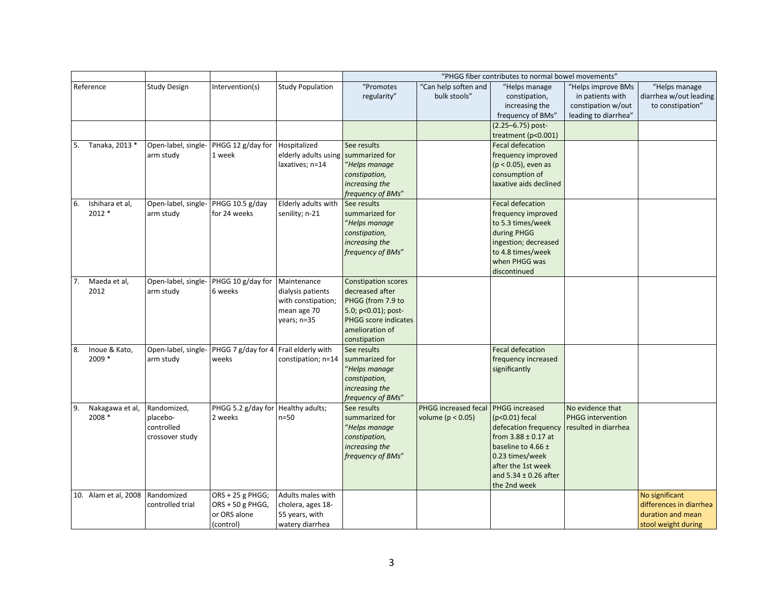| "Promotes<br><b>Study Design</b><br><b>Study Population</b><br>"Can help soften and<br>"Helps improve BMs<br>"Helps manage<br>Intervention(s)<br>"Helps manage<br>bulk stools"<br>regularity"<br>diarrhea w/out leading<br>constipation,<br>in patients with<br>increasing the<br>constipation w/out<br>to constipation"<br>frequency of BMs"<br>leading to diarrhea"<br>(2.25–6.75) post-<br>treatment (p<0.001)<br>Tanaka, 2013 *<br>Open-label, single-<br>PHGG 12 g/day for<br><b>Fecal defecation</b><br>Hospitalized<br>See results<br>arm study<br>1 week<br>elderly adults using summarized for<br>frequency improved<br>laxatives; n=14<br>"Helps manage<br>$(p < 0.05)$ , even as<br>constipation,<br>consumption of<br>increasing the<br>laxative aids declined<br>frequency of BMs"<br>Open-label, single-<br>PHGG 10.5 g/day<br>Elderly adults with<br>Fecal defecation<br>Ishihara et al,<br>See results<br>2012 *<br>for 24 weeks<br>senility; n-21<br>summarized for<br>arm study<br>frequency improved<br>"Helps manage<br>to 5.3 times/week<br>constipation,<br>during PHGG<br>increasing the<br>ingestion; decreased<br>frequency of BMs"<br>to 4.8 times/week<br>when PHGG was<br>discontinued<br>PHGG 10 g/day for<br>Maeda et al,<br>Open-label, single-<br><b>Constipation scores</b><br>Maintenance<br>2012<br>6 weeks<br>decreased after<br>arm study<br>dialysis patients<br>PHGG (from 7.9 to<br>with constipation;<br>mean age 70<br>5.0; p<0.01); post-<br>PHGG score indicates<br>years; n=35<br>amelioration of<br>constipation<br>PHGG 7 g/day for 4 Frail elderly with<br>Fecal defecation<br>Inoue & Kato,<br>Open-label, single-<br>See results<br>2009 *<br>summarized for<br>frequency increased<br>arm study<br>weeks<br>constipation; n=14<br>significantly<br>"Helps manage<br>constipation,<br>increasing the<br>frequency of BMs"<br>PHGG 5.2 g/day for Healthy adults;<br>PHGG increased<br>Randomized,<br>See results<br>PHGG increased fecal<br>No evidence that<br>Nakagawa et al,<br>2008 *<br>placebo-<br>2 weeks<br>$n=50$<br>summarized for<br>volume ( $p < 0.05$ )<br>$(p<0.01)$ fecal<br>PHGG intervention<br>controlled<br>"Helps manage<br>defecation frequency<br>resulted in diarrhea<br>constipation,<br>from $3.88 \pm 0.17$ at<br>crossover study<br>increasing the<br>baseline to 4.66 $\pm$<br>frequency of BMs"<br>0.23 times/week<br>after the 1st week<br>and $5.34 \pm 0.26$ after<br>the 2nd week<br>ORS + 25 g PHGG;<br>No significant<br>Randomized<br>Adults males with |                      |                  |                  |                   | "PHGG fiber contributes to normal bowel movements" |  |  |  |                         |  |
|-----------------------------------------------------------------------------------------------------------------------------------------------------------------------------------------------------------------------------------------------------------------------------------------------------------------------------------------------------------------------------------------------------------------------------------------------------------------------------------------------------------------------------------------------------------------------------------------------------------------------------------------------------------------------------------------------------------------------------------------------------------------------------------------------------------------------------------------------------------------------------------------------------------------------------------------------------------------------------------------------------------------------------------------------------------------------------------------------------------------------------------------------------------------------------------------------------------------------------------------------------------------------------------------------------------------------------------------------------------------------------------------------------------------------------------------------------------------------------------------------------------------------------------------------------------------------------------------------------------------------------------------------------------------------------------------------------------------------------------------------------------------------------------------------------------------------------------------------------------------------------------------------------------------------------------------------------------------------------------------------------------------------------------------------------------------------------------------------------------------------------------------------------------------------------------------------------------------------------------------------------------------------------------------------------------------------------------------------------------------------------------------------------------------------------------------------------------------------------------------------------------------------------------------------|----------------------|------------------|------------------|-------------------|----------------------------------------------------|--|--|--|-------------------------|--|
|                                                                                                                                                                                                                                                                                                                                                                                                                                                                                                                                                                                                                                                                                                                                                                                                                                                                                                                                                                                                                                                                                                                                                                                                                                                                                                                                                                                                                                                                                                                                                                                                                                                                                                                                                                                                                                                                                                                                                                                                                                                                                                                                                                                                                                                                                                                                                                                                                                                                                                                                               | Reference            |                  |                  |                   |                                                    |  |  |  |                         |  |
|                                                                                                                                                                                                                                                                                                                                                                                                                                                                                                                                                                                                                                                                                                                                                                                                                                                                                                                                                                                                                                                                                                                                                                                                                                                                                                                                                                                                                                                                                                                                                                                                                                                                                                                                                                                                                                                                                                                                                                                                                                                                                                                                                                                                                                                                                                                                                                                                                                                                                                                                               |                      |                  |                  |                   |                                                    |  |  |  |                         |  |
|                                                                                                                                                                                                                                                                                                                                                                                                                                                                                                                                                                                                                                                                                                                                                                                                                                                                                                                                                                                                                                                                                                                                                                                                                                                                                                                                                                                                                                                                                                                                                                                                                                                                                                                                                                                                                                                                                                                                                                                                                                                                                                                                                                                                                                                                                                                                                                                                                                                                                                                                               |                      |                  |                  |                   |                                                    |  |  |  |                         |  |
|                                                                                                                                                                                                                                                                                                                                                                                                                                                                                                                                                                                                                                                                                                                                                                                                                                                                                                                                                                                                                                                                                                                                                                                                                                                                                                                                                                                                                                                                                                                                                                                                                                                                                                                                                                                                                                                                                                                                                                                                                                                                                                                                                                                                                                                                                                                                                                                                                                                                                                                                               |                      |                  |                  |                   |                                                    |  |  |  |                         |  |
|                                                                                                                                                                                                                                                                                                                                                                                                                                                                                                                                                                                                                                                                                                                                                                                                                                                                                                                                                                                                                                                                                                                                                                                                                                                                                                                                                                                                                                                                                                                                                                                                                                                                                                                                                                                                                                                                                                                                                                                                                                                                                                                                                                                                                                                                                                                                                                                                                                                                                                                                               |                      |                  |                  |                   |                                                    |  |  |  |                         |  |
|                                                                                                                                                                                                                                                                                                                                                                                                                                                                                                                                                                                                                                                                                                                                                                                                                                                                                                                                                                                                                                                                                                                                                                                                                                                                                                                                                                                                                                                                                                                                                                                                                                                                                                                                                                                                                                                                                                                                                                                                                                                                                                                                                                                                                                                                                                                                                                                                                                                                                                                                               |                      |                  |                  |                   |                                                    |  |  |  |                         |  |
|                                                                                                                                                                                                                                                                                                                                                                                                                                                                                                                                                                                                                                                                                                                                                                                                                                                                                                                                                                                                                                                                                                                                                                                                                                                                                                                                                                                                                                                                                                                                                                                                                                                                                                                                                                                                                                                                                                                                                                                                                                                                                                                                                                                                                                                                                                                                                                                                                                                                                                                                               | 5.                   |                  |                  |                   |                                                    |  |  |  |                         |  |
|                                                                                                                                                                                                                                                                                                                                                                                                                                                                                                                                                                                                                                                                                                                                                                                                                                                                                                                                                                                                                                                                                                                                                                                                                                                                                                                                                                                                                                                                                                                                                                                                                                                                                                                                                                                                                                                                                                                                                                                                                                                                                                                                                                                                                                                                                                                                                                                                                                                                                                                                               |                      |                  |                  |                   |                                                    |  |  |  |                         |  |
|                                                                                                                                                                                                                                                                                                                                                                                                                                                                                                                                                                                                                                                                                                                                                                                                                                                                                                                                                                                                                                                                                                                                                                                                                                                                                                                                                                                                                                                                                                                                                                                                                                                                                                                                                                                                                                                                                                                                                                                                                                                                                                                                                                                                                                                                                                                                                                                                                                                                                                                                               |                      |                  |                  |                   |                                                    |  |  |  |                         |  |
|                                                                                                                                                                                                                                                                                                                                                                                                                                                                                                                                                                                                                                                                                                                                                                                                                                                                                                                                                                                                                                                                                                                                                                                                                                                                                                                                                                                                                                                                                                                                                                                                                                                                                                                                                                                                                                                                                                                                                                                                                                                                                                                                                                                                                                                                                                                                                                                                                                                                                                                                               |                      |                  |                  |                   |                                                    |  |  |  |                         |  |
|                                                                                                                                                                                                                                                                                                                                                                                                                                                                                                                                                                                                                                                                                                                                                                                                                                                                                                                                                                                                                                                                                                                                                                                                                                                                                                                                                                                                                                                                                                                                                                                                                                                                                                                                                                                                                                                                                                                                                                                                                                                                                                                                                                                                                                                                                                                                                                                                                                                                                                                                               |                      |                  |                  |                   |                                                    |  |  |  |                         |  |
|                                                                                                                                                                                                                                                                                                                                                                                                                                                                                                                                                                                                                                                                                                                                                                                                                                                                                                                                                                                                                                                                                                                                                                                                                                                                                                                                                                                                                                                                                                                                                                                                                                                                                                                                                                                                                                                                                                                                                                                                                                                                                                                                                                                                                                                                                                                                                                                                                                                                                                                                               |                      |                  |                  |                   |                                                    |  |  |  |                         |  |
|                                                                                                                                                                                                                                                                                                                                                                                                                                                                                                                                                                                                                                                                                                                                                                                                                                                                                                                                                                                                                                                                                                                                                                                                                                                                                                                                                                                                                                                                                                                                                                                                                                                                                                                                                                                                                                                                                                                                                                                                                                                                                                                                                                                                                                                                                                                                                                                                                                                                                                                                               | 6.                   |                  |                  |                   |                                                    |  |  |  |                         |  |
|                                                                                                                                                                                                                                                                                                                                                                                                                                                                                                                                                                                                                                                                                                                                                                                                                                                                                                                                                                                                                                                                                                                                                                                                                                                                                                                                                                                                                                                                                                                                                                                                                                                                                                                                                                                                                                                                                                                                                                                                                                                                                                                                                                                                                                                                                                                                                                                                                                                                                                                                               |                      |                  |                  |                   |                                                    |  |  |  |                         |  |
|                                                                                                                                                                                                                                                                                                                                                                                                                                                                                                                                                                                                                                                                                                                                                                                                                                                                                                                                                                                                                                                                                                                                                                                                                                                                                                                                                                                                                                                                                                                                                                                                                                                                                                                                                                                                                                                                                                                                                                                                                                                                                                                                                                                                                                                                                                                                                                                                                                                                                                                                               |                      |                  |                  |                   |                                                    |  |  |  |                         |  |
|                                                                                                                                                                                                                                                                                                                                                                                                                                                                                                                                                                                                                                                                                                                                                                                                                                                                                                                                                                                                                                                                                                                                                                                                                                                                                                                                                                                                                                                                                                                                                                                                                                                                                                                                                                                                                                                                                                                                                                                                                                                                                                                                                                                                                                                                                                                                                                                                                                                                                                                                               |                      |                  |                  |                   |                                                    |  |  |  |                         |  |
|                                                                                                                                                                                                                                                                                                                                                                                                                                                                                                                                                                                                                                                                                                                                                                                                                                                                                                                                                                                                                                                                                                                                                                                                                                                                                                                                                                                                                                                                                                                                                                                                                                                                                                                                                                                                                                                                                                                                                                                                                                                                                                                                                                                                                                                                                                                                                                                                                                                                                                                                               |                      |                  |                  |                   |                                                    |  |  |  |                         |  |
|                                                                                                                                                                                                                                                                                                                                                                                                                                                                                                                                                                                                                                                                                                                                                                                                                                                                                                                                                                                                                                                                                                                                                                                                                                                                                                                                                                                                                                                                                                                                                                                                                                                                                                                                                                                                                                                                                                                                                                                                                                                                                                                                                                                                                                                                                                                                                                                                                                                                                                                                               |                      |                  |                  |                   |                                                    |  |  |  |                         |  |
|                                                                                                                                                                                                                                                                                                                                                                                                                                                                                                                                                                                                                                                                                                                                                                                                                                                                                                                                                                                                                                                                                                                                                                                                                                                                                                                                                                                                                                                                                                                                                                                                                                                                                                                                                                                                                                                                                                                                                                                                                                                                                                                                                                                                                                                                                                                                                                                                                                                                                                                                               |                      |                  |                  |                   |                                                    |  |  |  |                         |  |
|                                                                                                                                                                                                                                                                                                                                                                                                                                                                                                                                                                                                                                                                                                                                                                                                                                                                                                                                                                                                                                                                                                                                                                                                                                                                                                                                                                                                                                                                                                                                                                                                                                                                                                                                                                                                                                                                                                                                                                                                                                                                                                                                                                                                                                                                                                                                                                                                                                                                                                                                               |                      |                  |                  |                   |                                                    |  |  |  |                         |  |
|                                                                                                                                                                                                                                                                                                                                                                                                                                                                                                                                                                                                                                                                                                                                                                                                                                                                                                                                                                                                                                                                                                                                                                                                                                                                                                                                                                                                                                                                                                                                                                                                                                                                                                                                                                                                                                                                                                                                                                                                                                                                                                                                                                                                                                                                                                                                                                                                                                                                                                                                               | 7.                   |                  |                  |                   |                                                    |  |  |  |                         |  |
|                                                                                                                                                                                                                                                                                                                                                                                                                                                                                                                                                                                                                                                                                                                                                                                                                                                                                                                                                                                                                                                                                                                                                                                                                                                                                                                                                                                                                                                                                                                                                                                                                                                                                                                                                                                                                                                                                                                                                                                                                                                                                                                                                                                                                                                                                                                                                                                                                                                                                                                                               |                      |                  |                  |                   |                                                    |  |  |  |                         |  |
|                                                                                                                                                                                                                                                                                                                                                                                                                                                                                                                                                                                                                                                                                                                                                                                                                                                                                                                                                                                                                                                                                                                                                                                                                                                                                                                                                                                                                                                                                                                                                                                                                                                                                                                                                                                                                                                                                                                                                                                                                                                                                                                                                                                                                                                                                                                                                                                                                                                                                                                                               |                      |                  |                  |                   |                                                    |  |  |  |                         |  |
|                                                                                                                                                                                                                                                                                                                                                                                                                                                                                                                                                                                                                                                                                                                                                                                                                                                                                                                                                                                                                                                                                                                                                                                                                                                                                                                                                                                                                                                                                                                                                                                                                                                                                                                                                                                                                                                                                                                                                                                                                                                                                                                                                                                                                                                                                                                                                                                                                                                                                                                                               |                      |                  |                  |                   |                                                    |  |  |  |                         |  |
|                                                                                                                                                                                                                                                                                                                                                                                                                                                                                                                                                                                                                                                                                                                                                                                                                                                                                                                                                                                                                                                                                                                                                                                                                                                                                                                                                                                                                                                                                                                                                                                                                                                                                                                                                                                                                                                                                                                                                                                                                                                                                                                                                                                                                                                                                                                                                                                                                                                                                                                                               |                      |                  |                  |                   |                                                    |  |  |  |                         |  |
|                                                                                                                                                                                                                                                                                                                                                                                                                                                                                                                                                                                                                                                                                                                                                                                                                                                                                                                                                                                                                                                                                                                                                                                                                                                                                                                                                                                                                                                                                                                                                                                                                                                                                                                                                                                                                                                                                                                                                                                                                                                                                                                                                                                                                                                                                                                                                                                                                                                                                                                                               |                      |                  |                  |                   |                                                    |  |  |  |                         |  |
|                                                                                                                                                                                                                                                                                                                                                                                                                                                                                                                                                                                                                                                                                                                                                                                                                                                                                                                                                                                                                                                                                                                                                                                                                                                                                                                                                                                                                                                                                                                                                                                                                                                                                                                                                                                                                                                                                                                                                                                                                                                                                                                                                                                                                                                                                                                                                                                                                                                                                                                                               |                      |                  |                  |                   |                                                    |  |  |  |                         |  |
|                                                                                                                                                                                                                                                                                                                                                                                                                                                                                                                                                                                                                                                                                                                                                                                                                                                                                                                                                                                                                                                                                                                                                                                                                                                                                                                                                                                                                                                                                                                                                                                                                                                                                                                                                                                                                                                                                                                                                                                                                                                                                                                                                                                                                                                                                                                                                                                                                                                                                                                                               | 8.                   |                  |                  |                   |                                                    |  |  |  |                         |  |
|                                                                                                                                                                                                                                                                                                                                                                                                                                                                                                                                                                                                                                                                                                                                                                                                                                                                                                                                                                                                                                                                                                                                                                                                                                                                                                                                                                                                                                                                                                                                                                                                                                                                                                                                                                                                                                                                                                                                                                                                                                                                                                                                                                                                                                                                                                                                                                                                                                                                                                                                               |                      |                  |                  |                   |                                                    |  |  |  |                         |  |
|                                                                                                                                                                                                                                                                                                                                                                                                                                                                                                                                                                                                                                                                                                                                                                                                                                                                                                                                                                                                                                                                                                                                                                                                                                                                                                                                                                                                                                                                                                                                                                                                                                                                                                                                                                                                                                                                                                                                                                                                                                                                                                                                                                                                                                                                                                                                                                                                                                                                                                                                               |                      |                  |                  |                   |                                                    |  |  |  |                         |  |
|                                                                                                                                                                                                                                                                                                                                                                                                                                                                                                                                                                                                                                                                                                                                                                                                                                                                                                                                                                                                                                                                                                                                                                                                                                                                                                                                                                                                                                                                                                                                                                                                                                                                                                                                                                                                                                                                                                                                                                                                                                                                                                                                                                                                                                                                                                                                                                                                                                                                                                                                               |                      |                  |                  |                   |                                                    |  |  |  |                         |  |
|                                                                                                                                                                                                                                                                                                                                                                                                                                                                                                                                                                                                                                                                                                                                                                                                                                                                                                                                                                                                                                                                                                                                                                                                                                                                                                                                                                                                                                                                                                                                                                                                                                                                                                                                                                                                                                                                                                                                                                                                                                                                                                                                                                                                                                                                                                                                                                                                                                                                                                                                               |                      |                  |                  |                   |                                                    |  |  |  |                         |  |
|                                                                                                                                                                                                                                                                                                                                                                                                                                                                                                                                                                                                                                                                                                                                                                                                                                                                                                                                                                                                                                                                                                                                                                                                                                                                                                                                                                                                                                                                                                                                                                                                                                                                                                                                                                                                                                                                                                                                                                                                                                                                                                                                                                                                                                                                                                                                                                                                                                                                                                                                               |                      |                  |                  |                   |                                                    |  |  |  |                         |  |
|                                                                                                                                                                                                                                                                                                                                                                                                                                                                                                                                                                                                                                                                                                                                                                                                                                                                                                                                                                                                                                                                                                                                                                                                                                                                                                                                                                                                                                                                                                                                                                                                                                                                                                                                                                                                                                                                                                                                                                                                                                                                                                                                                                                                                                                                                                                                                                                                                                                                                                                                               | 9.                   |                  |                  |                   |                                                    |  |  |  |                         |  |
|                                                                                                                                                                                                                                                                                                                                                                                                                                                                                                                                                                                                                                                                                                                                                                                                                                                                                                                                                                                                                                                                                                                                                                                                                                                                                                                                                                                                                                                                                                                                                                                                                                                                                                                                                                                                                                                                                                                                                                                                                                                                                                                                                                                                                                                                                                                                                                                                                                                                                                                                               |                      |                  |                  |                   |                                                    |  |  |  |                         |  |
|                                                                                                                                                                                                                                                                                                                                                                                                                                                                                                                                                                                                                                                                                                                                                                                                                                                                                                                                                                                                                                                                                                                                                                                                                                                                                                                                                                                                                                                                                                                                                                                                                                                                                                                                                                                                                                                                                                                                                                                                                                                                                                                                                                                                                                                                                                                                                                                                                                                                                                                                               |                      |                  |                  |                   |                                                    |  |  |  |                         |  |
|                                                                                                                                                                                                                                                                                                                                                                                                                                                                                                                                                                                                                                                                                                                                                                                                                                                                                                                                                                                                                                                                                                                                                                                                                                                                                                                                                                                                                                                                                                                                                                                                                                                                                                                                                                                                                                                                                                                                                                                                                                                                                                                                                                                                                                                                                                                                                                                                                                                                                                                                               |                      |                  |                  |                   |                                                    |  |  |  |                         |  |
|                                                                                                                                                                                                                                                                                                                                                                                                                                                                                                                                                                                                                                                                                                                                                                                                                                                                                                                                                                                                                                                                                                                                                                                                                                                                                                                                                                                                                                                                                                                                                                                                                                                                                                                                                                                                                                                                                                                                                                                                                                                                                                                                                                                                                                                                                                                                                                                                                                                                                                                                               |                      |                  |                  |                   |                                                    |  |  |  |                         |  |
|                                                                                                                                                                                                                                                                                                                                                                                                                                                                                                                                                                                                                                                                                                                                                                                                                                                                                                                                                                                                                                                                                                                                                                                                                                                                                                                                                                                                                                                                                                                                                                                                                                                                                                                                                                                                                                                                                                                                                                                                                                                                                                                                                                                                                                                                                                                                                                                                                                                                                                                                               |                      |                  |                  |                   |                                                    |  |  |  |                         |  |
|                                                                                                                                                                                                                                                                                                                                                                                                                                                                                                                                                                                                                                                                                                                                                                                                                                                                                                                                                                                                                                                                                                                                                                                                                                                                                                                                                                                                                                                                                                                                                                                                                                                                                                                                                                                                                                                                                                                                                                                                                                                                                                                                                                                                                                                                                                                                                                                                                                                                                                                                               |                      |                  |                  |                   |                                                    |  |  |  |                         |  |
|                                                                                                                                                                                                                                                                                                                                                                                                                                                                                                                                                                                                                                                                                                                                                                                                                                                                                                                                                                                                                                                                                                                                                                                                                                                                                                                                                                                                                                                                                                                                                                                                                                                                                                                                                                                                                                                                                                                                                                                                                                                                                                                                                                                                                                                                                                                                                                                                                                                                                                                                               |                      |                  |                  |                   |                                                    |  |  |  |                         |  |
|                                                                                                                                                                                                                                                                                                                                                                                                                                                                                                                                                                                                                                                                                                                                                                                                                                                                                                                                                                                                                                                                                                                                                                                                                                                                                                                                                                                                                                                                                                                                                                                                                                                                                                                                                                                                                                                                                                                                                                                                                                                                                                                                                                                                                                                                                                                                                                                                                                                                                                                                               |                      |                  |                  |                   |                                                    |  |  |  |                         |  |
|                                                                                                                                                                                                                                                                                                                                                                                                                                                                                                                                                                                                                                                                                                                                                                                                                                                                                                                                                                                                                                                                                                                                                                                                                                                                                                                                                                                                                                                                                                                                                                                                                                                                                                                                                                                                                                                                                                                                                                                                                                                                                                                                                                                                                                                                                                                                                                                                                                                                                                                                               | 10. Alam et al, 2008 |                  |                  |                   |                                                    |  |  |  |                         |  |
|                                                                                                                                                                                                                                                                                                                                                                                                                                                                                                                                                                                                                                                                                                                                                                                                                                                                                                                                                                                                                                                                                                                                                                                                                                                                                                                                                                                                                                                                                                                                                                                                                                                                                                                                                                                                                                                                                                                                                                                                                                                                                                                                                                                                                                                                                                                                                                                                                                                                                                                                               |                      | controlled trial | ORS + 50 g PHGG, | cholera, ages 18- |                                                    |  |  |  | differences in diarrhea |  |
| or ORS alone<br>55 years, with<br>duration and mean                                                                                                                                                                                                                                                                                                                                                                                                                                                                                                                                                                                                                                                                                                                                                                                                                                                                                                                                                                                                                                                                                                                                                                                                                                                                                                                                                                                                                                                                                                                                                                                                                                                                                                                                                                                                                                                                                                                                                                                                                                                                                                                                                                                                                                                                                                                                                                                                                                                                                           |                      |                  |                  |                   |                                                    |  |  |  |                         |  |
| (control)<br>watery diarrhea<br>stool weight during                                                                                                                                                                                                                                                                                                                                                                                                                                                                                                                                                                                                                                                                                                                                                                                                                                                                                                                                                                                                                                                                                                                                                                                                                                                                                                                                                                                                                                                                                                                                                                                                                                                                                                                                                                                                                                                                                                                                                                                                                                                                                                                                                                                                                                                                                                                                                                                                                                                                                           |                      |                  |                  |                   |                                                    |  |  |  |                         |  |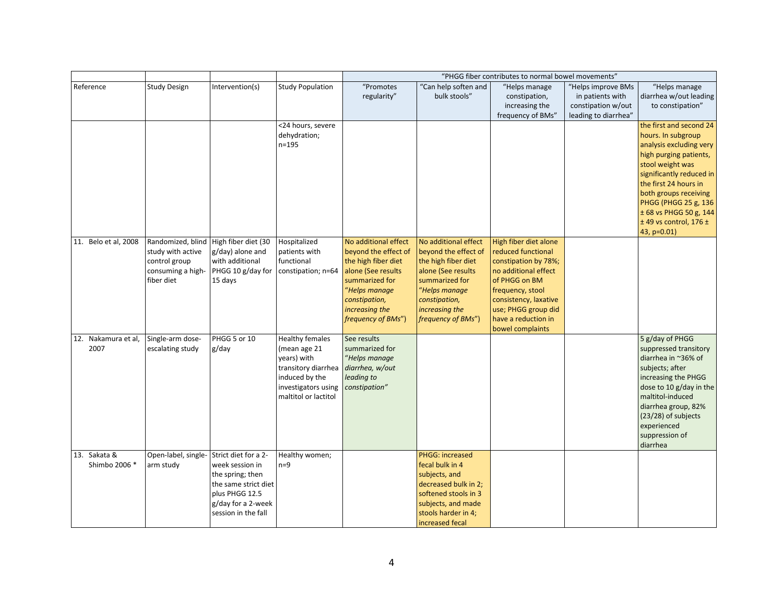|                      |                     |                                       |                         |                      |                        | "PHGG fiber contributes to normal bowel movements" |                      |                                                      |
|----------------------|---------------------|---------------------------------------|-------------------------|----------------------|------------------------|----------------------------------------------------|----------------------|------------------------------------------------------|
| Reference            | <b>Study Design</b> | Intervention(s)                       | <b>Study Population</b> | "Promotes            | "Can help soften and   | "Helps manage                                      | "Helps improve BMs   | "Helps manage                                        |
|                      |                     |                                       |                         | regularity"          | bulk stools"           | constipation,                                      | in patients with     | diarrhea w/out leading                               |
|                      |                     |                                       |                         |                      |                        | increasing the                                     | constipation w/out   | to constipation"                                     |
|                      |                     |                                       |                         |                      |                        | frequency of BMs"                                  | leading to diarrhea" |                                                      |
|                      |                     |                                       | <24 hours, severe       |                      |                        |                                                    |                      | the first and second 24                              |
|                      |                     |                                       | dehydration;            |                      |                        |                                                    |                      | hours. In subgroup                                   |
|                      |                     |                                       | $n = 195$               |                      |                        |                                                    |                      | analysis excluding very                              |
|                      |                     |                                       |                         |                      |                        |                                                    |                      | high purging patients,                               |
|                      |                     |                                       |                         |                      |                        |                                                    |                      | stool weight was                                     |
|                      |                     |                                       |                         |                      |                        |                                                    |                      | significantly reduced in                             |
|                      |                     |                                       |                         |                      |                        |                                                    |                      | the first 24 hours in                                |
|                      |                     |                                       |                         |                      |                        |                                                    |                      | both groups receiving                                |
|                      |                     |                                       |                         |                      |                        |                                                    |                      | PHGG (PHGG 25 g, 136                                 |
|                      |                     |                                       |                         |                      |                        |                                                    |                      | ± 68 vs PHGG 50 g, 144<br>$±$ 49 vs control, 176 $±$ |
|                      |                     |                                       |                         |                      |                        |                                                    |                      | 43, p=0.01)                                          |
| 11. Belo et al, 2008 |                     | Randomized, blind High fiber diet (30 | Hospitalized            | No additional effect | No additional effect   | High fiber diet alone                              |                      |                                                      |
|                      | study with active   | g/day) alone and                      | patients with           | beyond the effect of | beyond the effect of   | reduced functional                                 |                      |                                                      |
|                      | control group       | with additional                       | functional              | the high fiber diet  | the high fiber diet    | constipation by 78%;                               |                      |                                                      |
|                      | consuming a high-   | PHGG 10 g/day for                     | constipation; n=64      | alone (See results   | alone (See results     | no additional effect                               |                      |                                                      |
|                      | fiber diet          | 15 days                               |                         | summarized for       | summarized for         | of PHGG on BM                                      |                      |                                                      |
|                      |                     |                                       |                         | "Helps manage        | "Helps manage          | frequency, stool                                   |                      |                                                      |
|                      |                     |                                       |                         | constipation,        | constipation,          | consistency, laxative                              |                      |                                                      |
|                      |                     |                                       |                         | increasing the       | increasing the         | use; PHGG group did                                |                      |                                                      |
|                      |                     |                                       |                         | frequency of BMs")   | frequency of BMs")     | have a reduction in                                |                      |                                                      |
|                      |                     |                                       |                         |                      |                        | bowel complaints                                   |                      |                                                      |
| 12. Nakamura et al,  | Single-arm dose-    | PHGG 5 or 10                          | <b>Healthy females</b>  | See results          |                        |                                                    |                      | 5 g/day of PHGG                                      |
| 2007                 | escalating study    | g/day                                 | (mean age 21            | summarized for       |                        |                                                    |                      | suppressed transitory                                |
|                      |                     |                                       | years) with             | "Helps manage        |                        |                                                    |                      | diarrhea in ~36% of                                  |
|                      |                     |                                       | transitory diarrhea     | diarrhea, w/out      |                        |                                                    |                      | subjects; after                                      |
|                      |                     |                                       | induced by the          | leading to           |                        |                                                    |                      | increasing the PHGG                                  |
|                      |                     |                                       | investigators using     | constipation"        |                        |                                                    |                      | dose to 10 g/day in the<br>maltitol-induced          |
|                      |                     |                                       | maltitol or lactitol    |                      |                        |                                                    |                      | diarrhea group, 82%                                  |
|                      |                     |                                       |                         |                      |                        |                                                    |                      | (23/28) of subjects                                  |
|                      |                     |                                       |                         |                      |                        |                                                    |                      | experienced                                          |
|                      |                     |                                       |                         |                      |                        |                                                    |                      | suppression of                                       |
|                      |                     |                                       |                         |                      |                        |                                                    |                      | diarrhea                                             |
| 13. Sakata &         | Open-label, single- | Strict diet for a 2-                  | Healthy women;          |                      | <b>PHGG: increased</b> |                                                    |                      |                                                      |
| Shimbo 2006 *        | arm study           | week session in                       | $n=9$                   |                      | fecal bulk in 4        |                                                    |                      |                                                      |
|                      |                     | the spring; then                      |                         |                      | subjects, and          |                                                    |                      |                                                      |
|                      |                     | the same strict diet                  |                         |                      | decreased bulk in 2;   |                                                    |                      |                                                      |
|                      |                     | plus PHGG 12.5                        |                         |                      | softened stools in 3   |                                                    |                      |                                                      |
|                      |                     | g/day for a 2-week                    |                         |                      | subjects, and made     |                                                    |                      |                                                      |
|                      |                     | session in the fall                   |                         |                      | stools harder in 4;    |                                                    |                      |                                                      |
|                      |                     |                                       |                         |                      | increased fecal        |                                                    |                      |                                                      |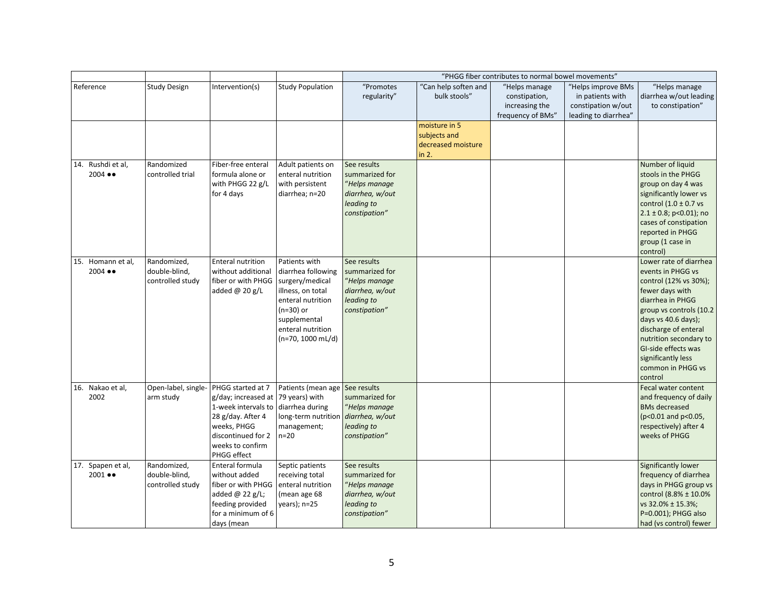|                                            |                                                  |                                                                                                                                                                                               |                                                                                                                                                                           |                                                                                                  |                                                              | "PHGG fiber contributes to normal bowel movements"                    |                                                                                      |                                                                                                                                                                                                                                                                                              |
|--------------------------------------------|--------------------------------------------------|-----------------------------------------------------------------------------------------------------------------------------------------------------------------------------------------------|---------------------------------------------------------------------------------------------------------------------------------------------------------------------------|--------------------------------------------------------------------------------------------------|--------------------------------------------------------------|-----------------------------------------------------------------------|--------------------------------------------------------------------------------------|----------------------------------------------------------------------------------------------------------------------------------------------------------------------------------------------------------------------------------------------------------------------------------------------|
| Reference                                  | <b>Study Design</b>                              | Intervention(s)                                                                                                                                                                               | <b>Study Population</b>                                                                                                                                                   | "Promotes<br>regularity"                                                                         | "Can help soften and<br>bulk stools"                         | "Helps manage<br>constipation,<br>increasing the<br>frequency of BMs" | "Helps improve BMs<br>in patients with<br>constipation w/out<br>leading to diarrhea" | "Helps manage<br>diarrhea w/out leading<br>to constipation"                                                                                                                                                                                                                                  |
|                                            |                                                  |                                                                                                                                                                                               |                                                                                                                                                                           |                                                                                                  | moisture in 5<br>subjects and<br>decreased moisture<br>in 2. |                                                                       |                                                                                      |                                                                                                                                                                                                                                                                                              |
| 14. Rushdi et al,<br>$2004 \bullet\bullet$ | Randomized<br>controlled trial                   | Fiber-free enteral<br>formula alone or<br>with PHGG 22 g/L<br>for 4 days                                                                                                                      | Adult patients on<br>enteral nutrition<br>with persistent<br>diarrhea; n=20                                                                                               | See results<br>summarized for<br>"Helps manage<br>diarrhea, w/out<br>leading to<br>constipation" |                                                              |                                                                       |                                                                                      | Number of liquid<br>stools in the PHGG<br>group on day 4 was<br>significantly lower vs<br>control $(1.0 \pm 0.7 \text{ vs }$<br>$2.1 \pm 0.8$ ; p<0.01); no<br>cases of constipation<br>reported in PHGG<br>group (1 case in<br>control)                                                     |
| 15. Homann et al,<br>$2004 \bullet\bullet$ | Randomized,<br>double-blind,<br>controlled study | <b>Enteral nutrition</b><br>without additional<br>fiber or with PHGG<br>added @ 20 g/L                                                                                                        | Patients with<br>diarrhea following<br>surgery/medical<br>illness, on total<br>enteral nutrition<br>$(n=30)$ or<br>supplemental<br>enteral nutrition<br>(n=70, 1000 mL/d) | See results<br>summarized for<br>"Helps manage<br>diarrhea, w/out<br>leading to<br>constipation" |                                                              |                                                                       |                                                                                      | Lower rate of diarrhea<br>events in PHGG vs<br>control (12% vs 30%);<br>fewer days with<br>diarrhea in PHGG<br>group vs controls (10.2<br>days vs 40.6 days);<br>discharge of enteral<br>nutrition secondary to<br>GI-side effects was<br>significantly less<br>common in PHGG vs<br>control |
| 16. Nakao et al,<br>2002                   | Open-label, single-<br>arm study                 | PHGG started at 7<br>g/day; increased at   79 years) with<br>1-week intervals to diarrhea during<br>28 g/day. After 4<br>weeks, PHGG<br>discontinued for 2<br>weeks to confirm<br>PHGG effect | Patients (mean age See results<br>long-term nutrition<br>management;<br>$n=20$                                                                                            | summarized for<br>"Helps manage<br>diarrhea, w/out<br>leading to<br>constipation"                |                                                              |                                                                       |                                                                                      | Fecal water content<br>and frequency of daily<br><b>BMs decreased</b><br>(p<0.01 and p<0.05,<br>respectively) after 4<br>weeks of PHGG                                                                                                                                                       |
| 17. Spapen et al,<br>$2001 \bullet\bullet$ | Randomized,<br>double-blind,<br>controlled study | Enteral formula<br>without added<br>fiber or with PHGG<br>added @ 22 g/L;<br>feeding provided<br>for a minimum of 6<br>days (mean                                                             | Septic patients<br>receiving total<br>enteral nutrition<br>(mean age 68<br>years); n=25                                                                                   | See results<br>summarized for<br>"Helps manage<br>diarrhea, w/out<br>leading to<br>constipation" |                                                              |                                                                       |                                                                                      | Significantly lower<br>frequency of diarrhea<br>days in PHGG group vs<br>control (8.8% ± 10.0%<br>vs 32.0% ± 15.3%;<br>P=0.001); PHGG also<br>had (vs control) fewer                                                                                                                         |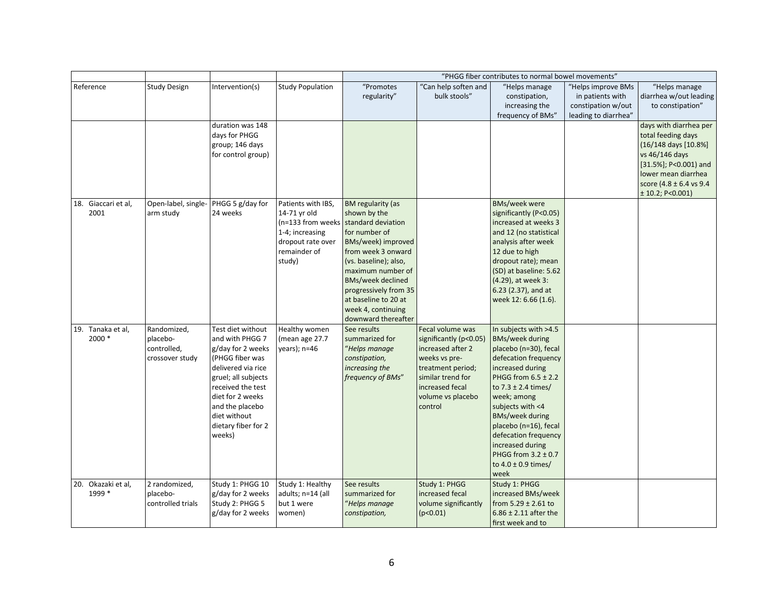|                              |                                                           |                                                                                                                                                                                                                                        |                                                                                                                           |                                                                                                                                                                                                                                                                                                     |                                                                                                                                                                               | "PHGG fiber contributes to normal bowel movements"                                                                                                                                                                                                                                                                                                                     |                                                              |                                                                                                                                                                                           |
|------------------------------|-----------------------------------------------------------|----------------------------------------------------------------------------------------------------------------------------------------------------------------------------------------------------------------------------------------|---------------------------------------------------------------------------------------------------------------------------|-----------------------------------------------------------------------------------------------------------------------------------------------------------------------------------------------------------------------------------------------------------------------------------------------------|-------------------------------------------------------------------------------------------------------------------------------------------------------------------------------|------------------------------------------------------------------------------------------------------------------------------------------------------------------------------------------------------------------------------------------------------------------------------------------------------------------------------------------------------------------------|--------------------------------------------------------------|-------------------------------------------------------------------------------------------------------------------------------------------------------------------------------------------|
| Reference                    | <b>Study Design</b>                                       | Intervention(s)                                                                                                                                                                                                                        | <b>Study Population</b>                                                                                                   | "Promotes<br>regularity"                                                                                                                                                                                                                                                                            | "Can help soften and<br>bulk stools"                                                                                                                                          | "Helps manage<br>constipation,<br>increasing the                                                                                                                                                                                                                                                                                                                       | "Helps improve BMs<br>in patients with<br>constipation w/out | "Helps manage<br>diarrhea w/out leading<br>to constipation"                                                                                                                               |
|                              |                                                           | duration was 148<br>days for PHGG<br>group; 146 days<br>for control group)                                                                                                                                                             |                                                                                                                           |                                                                                                                                                                                                                                                                                                     |                                                                                                                                                                               | frequency of BMs"                                                                                                                                                                                                                                                                                                                                                      | leading to diarrhea"                                         | days with diarrhea per<br>total feeding days<br>(16/148 days [10.8%]<br>vs 46/146 days<br>$[31.5\%]$ ; P<0.001) and<br>lower mean diarrhea<br>score (4.8 ± 6.4 vs 9.4<br>± 10.2; P<0.001) |
| 18. Giaccari et al,<br>2001  | Open-label, single-<br>arm study                          | PHGG 5 g/day for<br>24 weeks                                                                                                                                                                                                           | Patients with IBS,<br>14-71 yr old<br>(n=133 from weeks<br>1-4; increasing<br>dropout rate over<br>remainder of<br>study) | <b>BM</b> regularity (as<br>shown by the<br>standard deviation<br>for number of<br>BMs/week) improved<br>from week 3 onward<br>(vs. baseline); also,<br>maximum number of<br><b>BMs/week declined</b><br>progressively from 35<br>at baseline to 20 at<br>week 4, continuing<br>downward thereafter |                                                                                                                                                                               | <b>BMs/week were</b><br>significantly (P<0.05)<br>increased at weeks 3<br>and 12 (no statistical<br>analysis after week<br>12 due to high<br>dropout rate); mean<br>(SD) at baseline: 5.62<br>(4.29), at week 3:<br>6.23 (2.37), and at<br>week 12: 6.66 (1.6).                                                                                                        |                                                              |                                                                                                                                                                                           |
| 19. Tanaka et al,<br>2000 *  | Randomized,<br>placebo-<br>controlled,<br>crossover study | Test diet without<br>and with PHGG 7<br>g/day for 2 weeks<br>(PHGG fiber was<br>delivered via rice<br>gruel; all subjects<br>received the test<br>diet for 2 weeks<br>and the placebo<br>diet without<br>dietary fiber for 2<br>weeks) | Healthy women<br>(mean age 27.7<br>years); n=46                                                                           | See results<br>summarized for<br>"Helps manage<br>constipation,<br>increasing the<br>frequency of BMs"                                                                                                                                                                                              | Fecal volume was<br>significantly (p<0.05)<br>increased after 2<br>weeks vs pre-<br>treatment period;<br>similar trend for<br>increased fecal<br>volume vs placebo<br>control | In subjects with >4.5<br><b>BMs/week during</b><br>placebo (n=30), fecal<br>defecation frequency<br>increased during<br>PHGG from $6.5 \pm 2.2$<br>to $7.3 \pm 2.4$ times/<br>week; among<br>subjects with <4<br><b>BMs/week during</b><br>placebo (n=16), fecal<br>defecation frequency<br>increased during<br>PHGG from $3.2 \pm 0.7$<br>to 4.0 ± 0.9 times/<br>week |                                                              |                                                                                                                                                                                           |
| 20. Okazaki et al,<br>1999 * | 2 randomized,<br>placebo-<br>controlled trials            | Study 1: PHGG 10<br>g/day for 2 weeks<br>Study 2: PHGG 5<br>g/day for 2 weeks                                                                                                                                                          | Study 1: Healthy<br>adults; n=14 (all<br>but 1 were<br>women)                                                             | See results<br>summarized for<br>"Helps manage<br>constipation,                                                                                                                                                                                                                                     | Study 1: PHGG<br>increased fecal<br>volume significantly<br>(p<0.01)                                                                                                          | Study 1: PHGG<br>increased BMs/week<br>from $5.29 \pm 2.61$ to<br>$6.86 \pm 2.11$ after the<br>first week and to                                                                                                                                                                                                                                                       |                                                              |                                                                                                                                                                                           |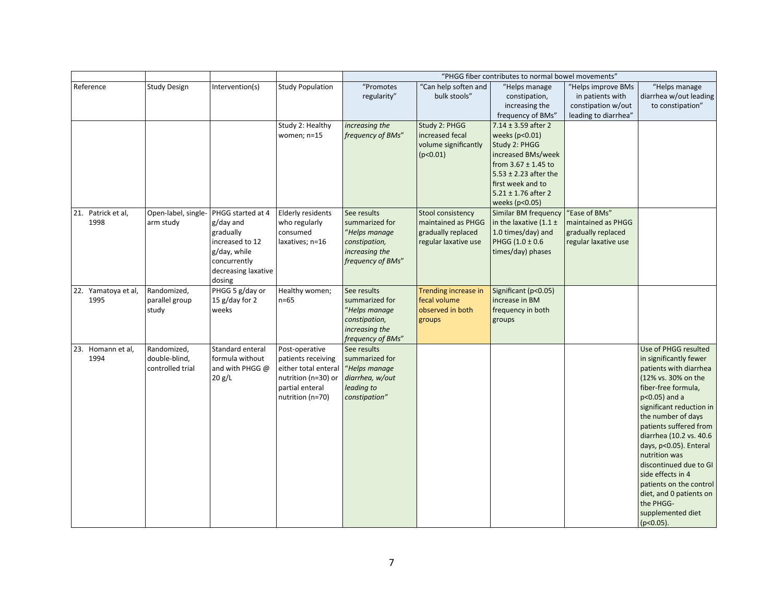|                             |                                                  |                                                                                                                                 |                                                                                                                            |                                                                                                        |                                                                                       | "PHGG fiber contributes to normal bowel movements"                                                                                                                                                                              |                                                                                   |                                                                                                                                                                                                                                                                                                                                                                                                                                                  |
|-----------------------------|--------------------------------------------------|---------------------------------------------------------------------------------------------------------------------------------|----------------------------------------------------------------------------------------------------------------------------|--------------------------------------------------------------------------------------------------------|---------------------------------------------------------------------------------------|---------------------------------------------------------------------------------------------------------------------------------------------------------------------------------------------------------------------------------|-----------------------------------------------------------------------------------|--------------------------------------------------------------------------------------------------------------------------------------------------------------------------------------------------------------------------------------------------------------------------------------------------------------------------------------------------------------------------------------------------------------------------------------------------|
| Reference                   | <b>Study Design</b>                              | Intervention(s)                                                                                                                 | <b>Study Population</b>                                                                                                    | "Promotes<br>regularity"                                                                               | "Can help soften and<br>bulk stools"                                                  | "Helps manage<br>constipation,<br>increasing the                                                                                                                                                                                | "Helps improve BMs<br>in patients with<br>constipation w/out                      | "Helps manage<br>diarrhea w/out leading<br>to constipation"                                                                                                                                                                                                                                                                                                                                                                                      |
|                             |                                                  |                                                                                                                                 | Study 2: Healthy<br>women; n=15                                                                                            | increasing the<br>frequency of BMs"                                                                    | Study 2: PHGG<br>increased fecal<br>volume significantly<br>(p<0.01)                  | frequency of BMs"<br>$7.14 \pm 3.59$ after 2<br>weeks (p<0.01)<br>Study 2: PHGG<br>increased BMs/week<br>from $3.67 \pm 1.45$ to<br>$5.53 \pm 2.23$ after the<br>first week and to<br>$5.21 \pm 1.76$ after 2<br>weeks (p<0.05) | leading to diarrhea"                                                              |                                                                                                                                                                                                                                                                                                                                                                                                                                                  |
| 21. Patrick et al,<br>1998  | Open-label, single-<br>arm study                 | PHGG started at 4<br>g/day and<br>gradually<br>increased to 12<br>g/day, while<br>concurrently<br>decreasing laxative<br>dosing | Elderly residents<br>who regularly<br>consumed<br>laxatives; n=16                                                          | See results<br>summarized for<br>"Helps manage<br>constipation,<br>increasing the<br>frequency of BMs" | Stool consistency<br>maintained as PHGG<br>gradually replaced<br>regular laxative use | Similar BM frequency<br>in the laxative $(1.1 \pm$<br>1.0 times/day) and<br>PHGG (1.0 ± 0.6<br>times/day) phases                                                                                                                | "Ease of BMs"<br>maintained as PHGG<br>gradually replaced<br>regular laxative use |                                                                                                                                                                                                                                                                                                                                                                                                                                                  |
| 22. Yamatoya et al,<br>1995 | Randomized,<br>parallel group<br>study           | PHGG 5 g/day or<br>15 g/day for 2<br>weeks                                                                                      | Healthy women;<br>$n=65$                                                                                                   | See results<br>summarized for<br>"Helps manage<br>constipation,<br>increasing the<br>frequency of BMs" | Trending increase in<br>fecal volume<br>observed in both<br>groups                    | Significant (p<0.05)<br>increase in BM<br>frequency in both<br>groups                                                                                                                                                           |                                                                                   |                                                                                                                                                                                                                                                                                                                                                                                                                                                  |
| 23. Homann et al,<br>1994   | Randomized,<br>double-blind,<br>controlled trial | Standard enteral<br>formula without<br>and with PHGG @<br>20 g/L                                                                | Post-operative<br>patients receiving<br>either total enteral<br>nutrition (n=30) or<br>partial enteral<br>nutrition (n=70) | See results<br>summarized for<br>"Helps manage<br>diarrhea, w/out<br>leading to<br>constipation"       |                                                                                       |                                                                                                                                                                                                                                 |                                                                                   | Use of PHGG resulted<br>in significantly fewer<br>patients with diarrhea<br>(12% vs. 30% on the<br>fiber-free formula,<br>p<0.05) and a<br>significant reduction in<br>the number of days<br>patients suffered from<br>diarrhea (10.2 vs. 40.6<br>days, p<0.05). Enteral<br>nutrition was<br>discontinued due to GI<br>side effects in 4<br>patients on the control<br>diet, and 0 patients on<br>the PHGG-<br>supplemented diet<br>$(p<0.05)$ . |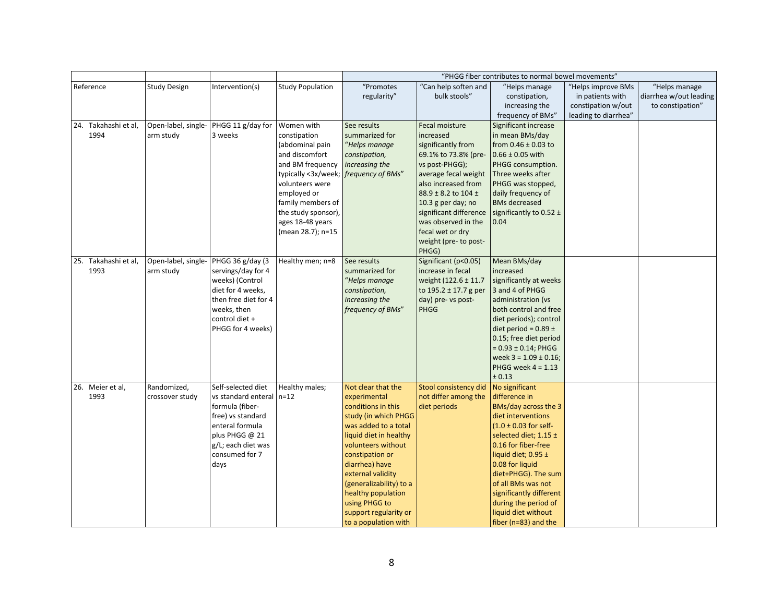|                          |                     |                                             |                         |                                    |                                               | "PHGG fiber contributes to normal bowel movements" |                      |                        |
|--------------------------|---------------------|---------------------------------------------|-------------------------|------------------------------------|-----------------------------------------------|----------------------------------------------------|----------------------|------------------------|
| Reference                | <b>Study Design</b> | Intervention(s)                             | <b>Study Population</b> | "Promotes                          | "Can help soften and                          | "Helps manage                                      | "Helps improve BMs   | "Helps manage          |
|                          |                     |                                             |                         | regularity"                        | bulk stools"                                  | constipation,                                      | in patients with     | diarrhea w/out leading |
|                          |                     |                                             |                         |                                    |                                               | increasing the                                     | constipation w/out   | to constipation"       |
|                          |                     |                                             |                         |                                    |                                               | frequency of BMs"                                  | leading to diarrhea" |                        |
| 24. Takahashi et al,     | Open-label, single- | PHGG 11 g/day for                           | Women with              | See results                        | Fecal moisture                                | Significant increase                               |                      |                        |
| 1994                     | arm study           | 3 weeks                                     | constipation            | summarized for                     | increased                                     | in mean BMs/day                                    |                      |                        |
|                          |                     |                                             | (abdominal pain         | "Helps manage                      | significantly from                            | from $0.46 \pm 0.03$ to                            |                      |                        |
|                          |                     |                                             | and discomfort          | constipation,                      | 69.1% to 73.8% (pre-                          | $0.66 \pm 0.05$ with                               |                      |                        |
|                          |                     |                                             | and BM frequency        | increasing the                     | vs post-PHGG);                                | PHGG consumption.                                  |                      |                        |
|                          |                     |                                             | typically <3x/week;     | frequency of BMs"                  | average fecal weight                          | Three weeks after                                  |                      |                        |
|                          |                     |                                             | volunteers were         |                                    | also increased from                           | PHGG was stopped,                                  |                      |                        |
|                          |                     |                                             | employed or             |                                    | 88.9 ± 8.2 to 104 ±                           | daily frequency of                                 |                      |                        |
|                          |                     |                                             | family members of       |                                    | 10.3 g per day; no                            | <b>BMs decreased</b>                               |                      |                        |
|                          |                     |                                             | the study sponsor),     |                                    | significant difference                        | significantly to 0.52 ±                            |                      |                        |
|                          |                     |                                             | ages 18-48 years        |                                    | was observed in the                           | 0.04                                               |                      |                        |
|                          |                     |                                             | (mean 28.7); n=15       |                                    | fecal wet or dry                              |                                                    |                      |                        |
|                          |                     |                                             |                         |                                    | weight (pre- to post-                         |                                                    |                      |                        |
|                          |                     |                                             |                         |                                    | PHGG)                                         |                                                    |                      |                        |
| 25. Takahashi et al,     | Open-label, single- | PHGG 36 g/day (3                            | Healthy men; n=8        | See results                        | Significant (p<0.05)                          | Mean BMs/day                                       |                      |                        |
| 1993                     | arm study           | servings/day for 4                          |                         | summarized for                     | increase in fecal                             | increased                                          |                      |                        |
|                          |                     | weeks) (Control                             |                         | "Helps manage                      | weight (122.6 ± 11.7)                         | significantly at weeks                             |                      |                        |
|                          |                     | diet for 4 weeks,                           |                         | constipation,                      | to $195.2 \pm 17.7$ g per                     | 3 and 4 of PHGG                                    |                      |                        |
|                          |                     | then free diet for 4                        |                         | increasing the                     | day) pre- vs post-                            | administration (vs                                 |                      |                        |
|                          |                     | weeks, then                                 |                         | frequency of BMs"                  | PHGG                                          | both control and free                              |                      |                        |
|                          |                     | control diet +                              |                         |                                    |                                               | diet periods); control                             |                      |                        |
|                          |                     | PHGG for 4 weeks)                           |                         |                                    |                                               | diet period = $0.89 \pm$                           |                      |                        |
|                          |                     |                                             |                         |                                    |                                               | 0.15; free diet period                             |                      |                        |
|                          |                     |                                             |                         |                                    |                                               | $= 0.93 \pm 0.14$ ; PHGG                           |                      |                        |
|                          |                     |                                             |                         |                                    |                                               | week $3 = 1.09 \pm 0.16$ ;                         |                      |                        |
|                          |                     |                                             |                         |                                    |                                               | PHGG week $4 = 1.13$                               |                      |                        |
|                          |                     |                                             |                         |                                    |                                               | ± 0.13                                             |                      |                        |
| 26. Meier et al,<br>1993 | Randomized,         | Self-selected diet                          | Healthy males;          | Not clear that the                 | Stool consistency did<br>not differ among the | No significant<br>difference in                    |                      |                        |
|                          | crossover study     | vs standard enteral n=12<br>formula (fiber- |                         | experimental<br>conditions in this | diet periods                                  | BMs/day across the 3                               |                      |                        |
|                          |                     | free) vs standard                           |                         | study (in which PHGG               |                                               | diet interventions                                 |                      |                        |
|                          |                     | enteral formula                             |                         | was added to a total               |                                               | $(1.0 \pm 0.03$ for self-                          |                      |                        |
|                          |                     | plus PHGG @ 21                              |                         | liquid diet in healthy             |                                               | selected diet; 1.15 ±                              |                      |                        |
|                          |                     | g/L; each diet was                          |                         | volunteers without                 |                                               | 0.16 for fiber-free                                |                      |                        |
|                          |                     | consumed for 7                              |                         | constipation or                    |                                               | liquid diet; $0.95 \pm$                            |                      |                        |
|                          |                     | days                                        |                         | diarrhea) have                     |                                               | 0.08 for liquid                                    |                      |                        |
|                          |                     |                                             |                         | external validity                  |                                               | diet+PHGG). The sum                                |                      |                        |
|                          |                     |                                             |                         | (generalizability) to a            |                                               | of all BMs was not                                 |                      |                        |
|                          |                     |                                             |                         | healthy population                 |                                               | significantly different                            |                      |                        |
|                          |                     |                                             |                         | using PHGG to                      |                                               | during the period of                               |                      |                        |
|                          |                     |                                             |                         | support regularity or              |                                               | liquid diet without                                |                      |                        |
|                          |                     |                                             |                         | to a population with               |                                               | fiber ( $n=83$ ) and the                           |                      |                        |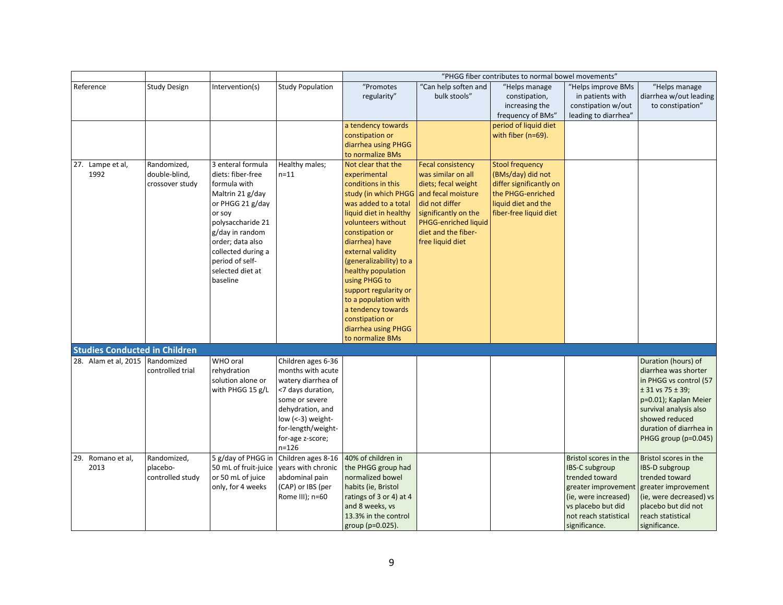|                                      |                                                 |                                                                                                                                                                                                                                               |                                                                                                                                                                                                      |                                                                                                                                                                                                                                                                                                                                                                                                                                              |                                                                                                                                                                                    | "PHGG fiber contributes to normal bowel movements"                                                                                           |                                                                                                                                                                          |                                                                                                                                                                                                                        |
|--------------------------------------|-------------------------------------------------|-----------------------------------------------------------------------------------------------------------------------------------------------------------------------------------------------------------------------------------------------|------------------------------------------------------------------------------------------------------------------------------------------------------------------------------------------------------|----------------------------------------------------------------------------------------------------------------------------------------------------------------------------------------------------------------------------------------------------------------------------------------------------------------------------------------------------------------------------------------------------------------------------------------------|------------------------------------------------------------------------------------------------------------------------------------------------------------------------------------|----------------------------------------------------------------------------------------------------------------------------------------------|--------------------------------------------------------------------------------------------------------------------------------------------------------------------------|------------------------------------------------------------------------------------------------------------------------------------------------------------------------------------------------------------------------|
| Reference                            | Study Design                                    | Intervention(s)                                                                                                                                                                                                                               | <b>Study Population</b>                                                                                                                                                                              | "Promotes<br>regularity"                                                                                                                                                                                                                                                                                                                                                                                                                     | 'Can help soften and<br>bulk stools"                                                                                                                                               | "Helps manage<br>constipation,<br>increasing the<br>frequency of BMs"                                                                        | "Helps improve BMs<br>in patients with<br>constipation w/out<br>leading to diarrhea"                                                                                     | "Helps manage<br>diarrhea w/out leading<br>to constipation"                                                                                                                                                            |
|                                      |                                                 |                                                                                                                                                                                                                                               |                                                                                                                                                                                                      | a tendency towards<br>constipation or<br>diarrhea using PHGG<br>to normalize BMs                                                                                                                                                                                                                                                                                                                                                             |                                                                                                                                                                                    | period of liquid diet<br>with fiber (n=69).                                                                                                  |                                                                                                                                                                          |                                                                                                                                                                                                                        |
| 27. Lampe et al,<br>1992             | Randomized,<br>double-blind,<br>crossover study | 3 enteral formula<br>diets: fiber-free<br>formula with<br>Maltrin 21 g/day<br>or PHGG 21 g/day<br>or soy<br>polysaccharide 21<br>g/day in random<br>order; data also<br>collected during a<br>period of self-<br>selected diet at<br>baseline | Healthy males;<br>$n = 11$                                                                                                                                                                           | Not clear that the<br>experimental<br>conditions in this<br>study (in which PHGG and fecal moisture<br>was added to a total<br>liquid diet in healthy<br>volunteers without<br>constipation or<br>diarrhea) have<br>external validity<br>(generalizability) to a<br>healthy population<br>using PHGG to<br>support regularity or<br>to a population with<br>a tendency towards<br>constipation or<br>diarrhea using PHGG<br>to normalize BMs | <b>Fecal consistency</b><br>was similar on all<br>diets; fecal weight<br>did not differ<br>significantly on the<br>PHGG-enriched liquid<br>diet and the fiber-<br>free liquid diet | <b>Stool frequency</b><br>(BMs/day) did not<br>differ significantly on<br>the PHGG-enriched<br>liquid diet and the<br>fiber-free liquid diet |                                                                                                                                                                          |                                                                                                                                                                                                                        |
| <b>Studies Conducted in Children</b> |                                                 |                                                                                                                                                                                                                                               |                                                                                                                                                                                                      |                                                                                                                                                                                                                                                                                                                                                                                                                                              |                                                                                                                                                                                    |                                                                                                                                              |                                                                                                                                                                          |                                                                                                                                                                                                                        |
| 28. Alam et al, 2015                 | Randomized<br>controlled trial                  | WHO oral<br>rehydration<br>solution alone or<br>with PHGG 15 g/L                                                                                                                                                                              | Children ages 6-36<br>months with acute<br>watery diarrhea of<br><7 days duration,<br>some or severe<br>dehydration, and<br>low (<-3) weight-<br>for-length/weight-<br>for-age z-score;<br>$n = 126$ |                                                                                                                                                                                                                                                                                                                                                                                                                                              |                                                                                                                                                                                    |                                                                                                                                              |                                                                                                                                                                          | Duration (hours) of<br>diarrhea was shorter<br>in PHGG vs control (57<br>$± 31$ vs 75 $± 39$ ;<br>p=0.01); Kaplan Meier<br>survival analysis also<br>showed reduced<br>duration of diarrhea in<br>PHGG group (p=0.045) |
| 29. Romano et al,<br>2013            | Randomized,<br>placebo-<br>controlled study     | 5 g/day of PHGG in<br>50 mL of fruit-juice<br>or 50 mL of juice<br>only, for 4 weeks                                                                                                                                                          | Children ages 8-16<br>years with chronic<br>abdominal pain<br>(CAP) or IBS (per<br>Rome III); n=60                                                                                                   | 40% of children in<br>the PHGG group had<br>normalized bowel<br>habits (ie, Bristol<br>ratings of 3 or 4) at 4<br>and 8 weeks, vs<br>13.3% in the control<br>group (p=0.025).                                                                                                                                                                                                                                                                |                                                                                                                                                                                    |                                                                                                                                              | Bristol scores in the<br>IBS-C subgroup<br>trended toward<br>greater improvement<br>(ie, were increased)<br>vs placebo but did<br>not reach statistical<br>significance. | Bristol scores in the<br><b>IBS-D subgroup</b><br>trended toward<br>greater improvement<br>(ie, were decreased) vs<br>placebo but did not<br>reach statistical<br>significance.                                        |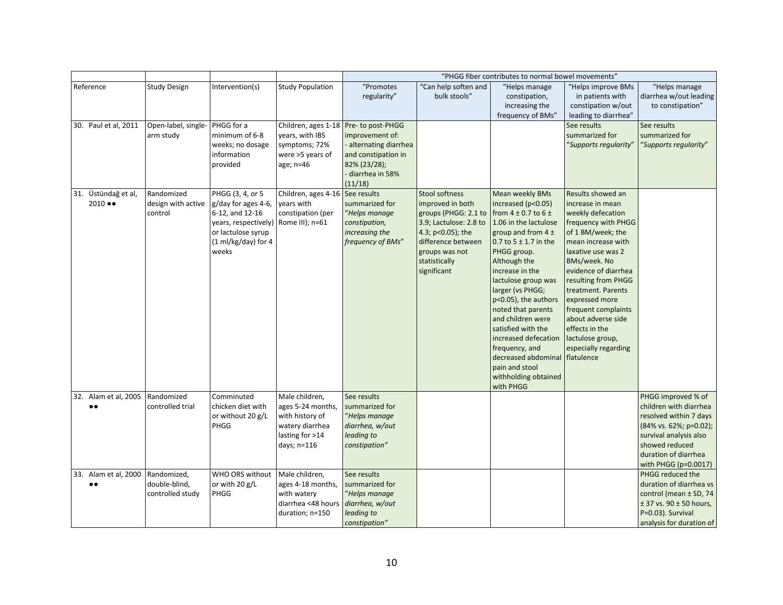|                                              |                                                  |                                                                                                                                                          |                                                                                                             |                                                                                                                                                           |                                                                                                                                                                                          | "PHGG fiber contributes to normal bowel movements"                                                                                                                                                                                                                                                                                                                                                                                                                 |                                                                                                                                                                                                                                                                                                                                                                                    |                                                                                                                                                                                                  |
|----------------------------------------------|--------------------------------------------------|----------------------------------------------------------------------------------------------------------------------------------------------------------|-------------------------------------------------------------------------------------------------------------|-----------------------------------------------------------------------------------------------------------------------------------------------------------|------------------------------------------------------------------------------------------------------------------------------------------------------------------------------------------|--------------------------------------------------------------------------------------------------------------------------------------------------------------------------------------------------------------------------------------------------------------------------------------------------------------------------------------------------------------------------------------------------------------------------------------------------------------------|------------------------------------------------------------------------------------------------------------------------------------------------------------------------------------------------------------------------------------------------------------------------------------------------------------------------------------------------------------------------------------|--------------------------------------------------------------------------------------------------------------------------------------------------------------------------------------------------|
| Reference                                    | <b>Study Design</b>                              | Intervention(s)                                                                                                                                          | <b>Study Population</b>                                                                                     | "Promotes<br>regularity"                                                                                                                                  | "Can help soften and<br>bulk stools"                                                                                                                                                     | "Helps manage<br>constipation,<br>increasing the<br>frequency of BMs"                                                                                                                                                                                                                                                                                                                                                                                              | "Helps improve BMs<br>in patients with<br>constipation w/out<br>leading to diarrhea"                                                                                                                                                                                                                                                                                               | "Helps manage<br>diarrhea w/out leading<br>to constipation"                                                                                                                                      |
| 30. Paul et al, 2011                         | Open-label, single-<br>arm study                 | PHGG for a<br>minimum of 6-8<br>weeks; no dosage<br>information<br>provided                                                                              | years, with IBS<br>symptoms; 72%<br>were >5 years of<br>age; n=46                                           | Children, ages 1-18 Pre- to post-PHGG<br>improvement of:<br>- alternating diarrhea<br>and constipation in<br>82% (23/28);<br>- diarrhea in 58%<br>(11/18) |                                                                                                                                                                                          |                                                                                                                                                                                                                                                                                                                                                                                                                                                                    | See results<br>summarized for<br>"Supports regularity"                                                                                                                                                                                                                                                                                                                             | See results<br>summarized for<br>"Supports regularity"                                                                                                                                           |
| 31. Üstündağ et al,<br>$2010 \bullet\bullet$ | Randomized<br>design with active<br>control      | PHGG (3, 4, or 5<br>g/day for ages 4-6,<br>6-12, and 12-16<br>years, respectively) Rome III); n=61<br>or lactulose syrup<br>(1 ml/kg/day) for 4<br>weeks | Children, ages 4-16<br>years with<br>constipation (per                                                      | See results<br>summarized for<br>"Helps manage<br>constipation,<br>increasing the<br>frequency of BMs"                                                    | <b>Stool softness</b><br>improved in both<br>groups (PHGG: 2.1 to<br>3.9; Lactulose: 2.8 to<br>4.3; p<0.05); the<br>difference between<br>groups was not<br>statistically<br>significant | Mean weekly BMs<br>increased (p<0.05)<br>from $4 \pm 0.7$ to $6 \pm$<br>1.06 in the lactulose<br>group and from $4 \pm$<br>0.7 to $5 \pm 1.7$ in the<br>PHGG group.<br>Although the<br>increase in the<br>lactulose group was<br>larger (vs PHGG;<br>p<0.05), the authors<br>noted that parents<br>and children were<br>satisfied with the<br>increased defecation<br>frequency, and<br>decreased abdominal<br>pain and stool<br>withholding obtained<br>with PHGG | Results showed an<br>increase in mean<br>weekly defecation<br>frequency with PHGG<br>of 1 BM/week; the<br>mean increase with<br>laxative use was 2<br>BMs/week. No<br>evidence of diarrhea<br>resulting from PHGG<br>treatment. Parents<br>expressed more<br>frequent complaints<br>about adverse side<br>effects in the<br>lactulose group,<br>especially regarding<br>flatulence |                                                                                                                                                                                                  |
| 32. Alam et al, 2005<br>$\bullet \bullet$    | Randomized<br>controlled trial                   | Comminuted<br>chicken diet with<br>or without 20 g/L<br>PHGG                                                                                             | Male children,<br>ages 5-24 months,<br>with history of<br>watery diarrhea<br>lasting for >14<br>days; n=116 | See results<br>summarized for<br>"Helps manage<br>diarrhea, w/out<br>leading to<br>constipation"                                                          |                                                                                                                                                                                          |                                                                                                                                                                                                                                                                                                                                                                                                                                                                    |                                                                                                                                                                                                                                                                                                                                                                                    | PHGG improved % of<br>children with diarrhea<br>resolved within 7 days<br>(84% vs. 62%; p=0.02);<br>survival analysis also<br>showed reduced<br>duration of diarrhea<br>with PHGG ( $p=0.0017$ ) |
| 33. Alam et al, 2000<br>$\bullet\bullet$     | Randomized,<br>double-blind,<br>controlled study | WHO ORS without<br>or with 20 g/L<br>PHGG                                                                                                                | Male children,<br>ages 4-18 months,<br>with watery<br>diarrhea <48 hours<br>duration; n=150                 | See results<br>summarized for<br>"Helps manage<br>diarrhea, w/out<br>leading to<br>constipation"                                                          |                                                                                                                                                                                          |                                                                                                                                                                                                                                                                                                                                                                                                                                                                    |                                                                                                                                                                                                                                                                                                                                                                                    | PHGG reduced the<br>duration of diarrhea vs<br>control (mean ± SD, 74<br>$± 37$ vs. 90 $± 50$ hours,<br>P=0.03). Survival<br>analysis for duration of                                            |